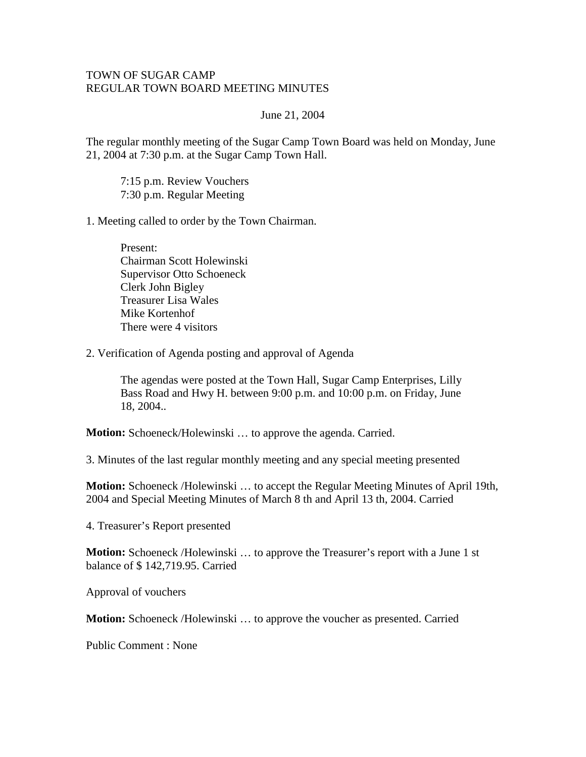## TOWN OF SUGAR CAMP REGULAR TOWN BOARD MEETING MINUTES

## June 21, 2004

The regular monthly meeting of the Sugar Camp Town Board was held on Monday, June 21, 2004 at 7:30 p.m. at the Sugar Camp Town Hall.

7:15 p.m. Review Vouchers 7:30 p.m. Regular Meeting

1. Meeting called to order by the Town Chairman.

Present: Chairman Scott Holewinski Supervisor Otto Schoeneck Clerk John Bigley Treasurer Lisa Wales Mike Kortenhof There were 4 visitors

2. Verification of Agenda posting and approval of Agenda

The agendas were posted at the Town Hall, Sugar Camp Enterprises, Lilly Bass Road and Hwy H. between 9:00 p.m. and 10:00 p.m. on Friday, June 18, 2004..

**Motion:** Schoeneck/Holewinski … to approve the agenda. Carried.

3. Minutes of the last regular monthly meeting and any special meeting presented

**Motion:** Schoeneck /Holewinski … to accept the Regular Meeting Minutes of April 19th, 2004 and Special Meeting Minutes of March 8 th and April 13 th, 2004. Carried

4. Treasurer's Report presented

**Motion:** Schoeneck /Holewinski ... to approve the Treasurer's report with a June 1 st balance of \$ 142,719.95. Carried

Approval of vouchers

**Motion:** Schoeneck /Holewinski … to approve the voucher as presented. Carried

Public Comment : None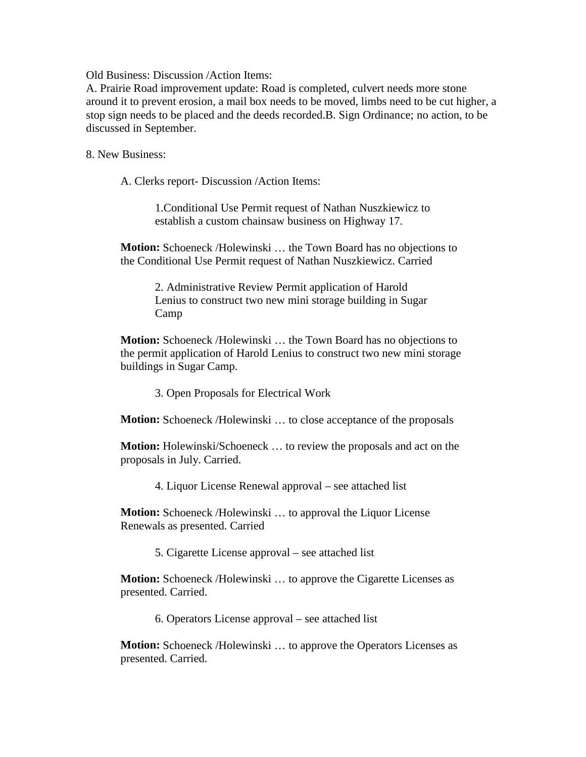Old Business: Discussion /Action Items:

A. Prairie Road improvement update: Road is completed, culvert needs more stone around it to prevent erosion, a mail box needs to be moved, limbs need to be cut higher, a stop sign needs to be placed and the deeds recorded.B. Sign Ordinance; no action, to be discussed in September.

8. New Business:

A. Clerks report- Discussion /Action Items:

1.Conditional Use Permit request of Nathan Nuszkiewicz to establish a custom chainsaw business on Highway 17.

**Motion:** Schoeneck /Holewinski … the Town Board has no objections to the Conditional Use Permit request of Nathan Nuszkiewicz. Carried

> 2. Administrative Review Permit application of Harold Lenius to construct two new mini storage building in Sugar Camp

**Motion:** Schoeneck /Holewinski … the Town Board has no objections to the permit application of Harold Lenius to construct two new mini storage buildings in Sugar Camp.

3. Open Proposals for Electrical Work

**Motion:** Schoeneck /Holewinski … to close acceptance of the proposals

**Motion:** Holewinski/Schoeneck … to review the proposals and act on the proposals in July. Carried.

4. Liquor License Renewal approval – see attached list

**Motion:** Schoeneck /Holewinski … to approval the Liquor License Renewals as presented. Carried

5. Cigarette License approval – see attached list

**Motion:** Schoeneck /Holewinski ... to approve the Cigarette Licenses as presented. Carried.

6. Operators License approval – see attached list

**Motion:** Schoeneck /Holewinski … to approve the Operators Licenses as presented. Carried.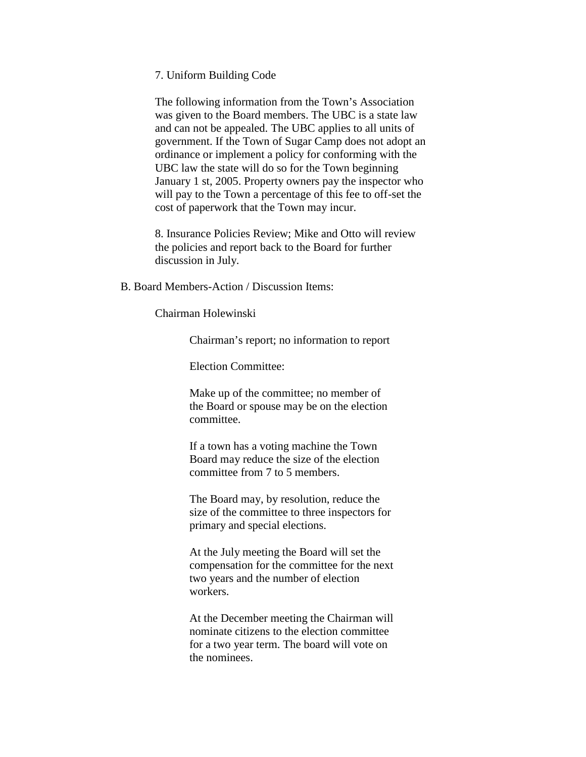7. Uniform Building Code

The following information from the Town's Association was given to the Board members. The UBC is a state law and can not be appealed. The UBC applies to all units of government. If the Town of Sugar Camp does not adopt an ordinance or implement a policy for conforming with the UBC law the state will do so for the Town beginning January 1 st, 2005. Property owners pay the inspector who will pay to the Town a percentage of this fee to off-set the cost of paperwork that the Town may incur.

8. Insurance Policies Review; Mike and Otto will review the policies and report back to the Board for further discussion in July.

B. Board Members-Action / Discussion Items:

Chairman Holewinski

Chairman's report; no information to report

Election Committee:

Make up of the committee; no member of the Board or spouse may be on the election committee.

If a town has a voting machine the Town Board may reduce the size of the election committee from 7 to 5 members.

The Board may, by resolution, reduce the size of the committee to three inspectors for primary and special elections.

At the July meeting the Board will set the compensation for the committee for the next two years and the number of election workers.

At the December meeting the Chairman will nominate citizens to the election committee for a two year term. The board will vote on the nominees.